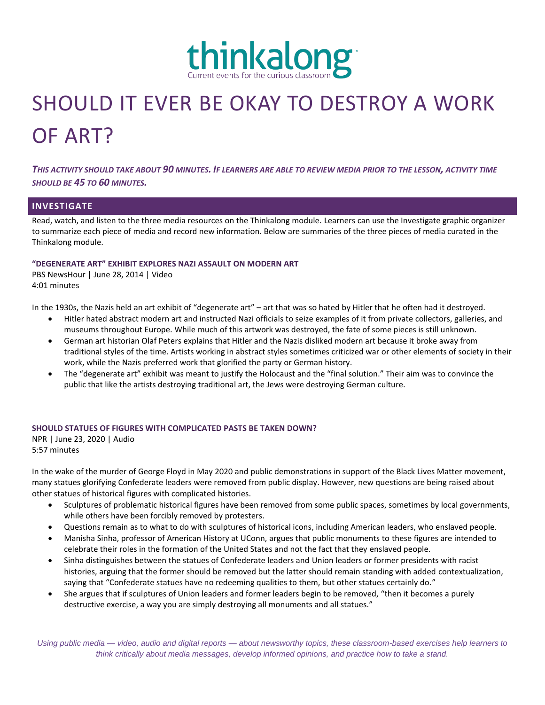

# SHOULD IT EVER BE OKAY TO DESTROY A WORK OF ART?

*THIS ACTIVITY SHOULD TAKE ABOUT 90 MINUTES. IF LEARNERS ARE ABLE TO REVIEW MEDIA PRIOR TO THE LESSON, ACTIVITY TIME SHOULD BE 45 TO 60 MINUTES.*

# **INVESTIGATE**

Read, watch, and listen to the three media resources on the Thinkalong module. Learners can use the Investigate graphic organizer to summarize each piece of media and record new information. Below are summaries of the three pieces of media curated in the Thinkalong module.

## **"DEGENERATE ART" EXHIBIT EXPLORES NAZI ASSAULT ON MODERN ART**

PBS NewsHour | June 28, 2014 | Video 4:01 minutes

In the 1930s, the Nazis held an art exhibit of "degenerate art" – art that was so hated by Hitler that he often had it destroyed.

- Hitler hated abstract modern art and instructed Nazi officials to seize examples of it from private collectors, galleries, and museums throughout Europe. While much of this artwork was destroyed, the fate of some pieces is still unknown.
- German art historian Olaf Peters explains that Hitler and the Nazis disliked modern art because it broke away from traditional styles of the time. Artists working in abstract styles sometimes criticized war or other elements of society in their work, while the Nazis preferred work that glorified the party or German history.
- The "degenerate art" exhibit was meant to justify the Holocaust and the "final solution." Their aim was to convince the public that like the artists destroying traditional art, the Jews were destroying German culture.

## **SHOULD STATUES OF FIGURES WITH COMPLICATED PASTS BE TAKEN DOWN?**

NPR | June 23, 2020 | Audio 5:57 minutes

In the wake of the murder of George Floyd in May 2020 and public demonstrations in support of the Black Lives Matter movement, many statues glorifying Confederate leaders were removed from public display. However, new questions are being raised about other statues of historical figures with complicated histories.

- Sculptures of problematic historical figures have been removed from some public spaces, sometimes by local governments, while others have been forcibly removed by protesters.
- Questions remain as to what to do with sculptures of historical icons, including American leaders, who enslaved people.
- Manisha Sinha, professor of American History at UConn, argues that public monuments to these figures are intended to celebrate their roles in the formation of the United States and not the fact that they enslaved people.
- Sinha distinguishes between the statues of Confederate leaders and Union leaders or former presidents with racist histories, arguing that the former should be removed but the latter should remain standing with added contextualization, saying that "Confederate statues have no redeeming qualities to them, but other statues certainly do."
- She argues that if sculptures of Union leaders and former leaders begin to be removed, "then it becomes a purely destructive exercise, a way you are simply destroying all monuments and all statues."

*Using public media — video, audio and digital reports — about newsworthy topics, these classroom-based exercises help learners to think critically about media messages, develop informed opinions, and practice how to take a stand.*